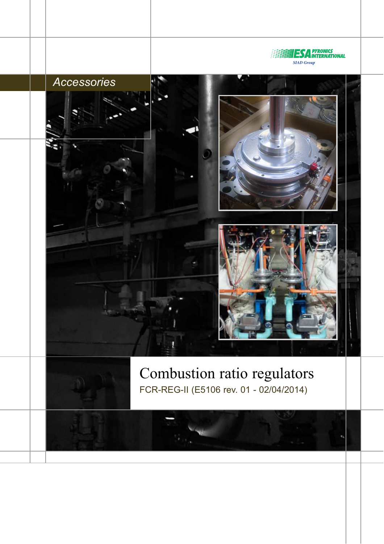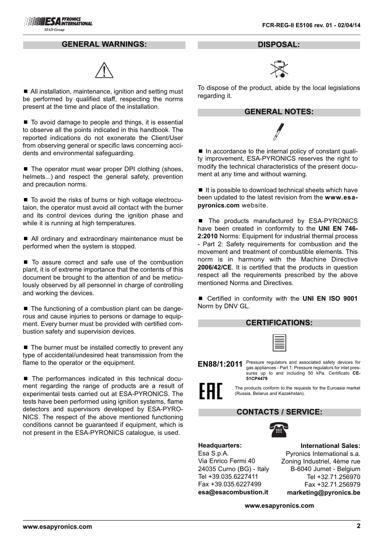# **ESA PYRONICS SIAD Group**

### **GENERAL WARNINGS:**



■ All installation, maintenance, ignition and setting must be performed by qualified staff, respecting the norms present at the time and place of the installation.

■ To avoid damage to people and things, it is essential to observe all the points indicated in this handbook. The reported indications do not exonerate the Client/User from observing general or specific laws concerning accidents and environmental safeguarding.

■ The operator must wear proper DPI clothing (shoes, helmets...) and respect the general safety, prevention and precaution norms.

■ To avoid the risks of burns or high voltage electrocutaion, the operator must avoid all contact with the burner and its control devices during the ignition phase and while it is running at high temperatures.

■ All ordinary and extraordinary maintenance must be performed when the system is stopped.

■ To assure correct and safe use of the combustion plant, it is of extreme importance that the contents of this document be brought to the attention of and be meticulously observed by all personnel in charge of controlling and working the devices.

■ The functioning of a combustion plant can be dangerous and cause injuries to persons or damage to equipment. Every burner must be provided with certified combustion safety and supervision devices.

 $\blacksquare$  The burner must be installed correctly to prevent any type of accidental/undesired heat transmission from the flame to the operator or the equipment.

■ The performances indicated in this technical document regarding the range of products are a result of experimental tests carried out at ESA-PYRONICS. The tests have been performed using ignition systems, flame detectors and supervisors developed by ESA-PYRO-NICS. The respect of the above mentioned functioning conditions cannot be guaranteed if equipment, which is not present in the ESA-PYRONICS catalogue, is used.

**DISPOSAL:**



To dispose of the product, abide by the local legislations regarding it.

## **GENERAL NOTES:**



■ In accordance to the internal policy of constant quality improvement, ESA-PYRONICS reserves the right to modify the technical characteristics of the present document at any time and without warning.

 $\blacksquare$  It is possible to download technical sheets which have been updated to the latest revision from the **www.esapyronics.com** website.

The products manufactured by ESA-PYRONICS have been created in conformity to the **UNI EN 746- 2:2010** Norms: Equipment for industrial thermal process - Part 2: Safety requirements for combustion and the movement and treatment of combustible elements. This norm is in harmony with the Machine Directive **2006/42/CE**. It is certified that the products in question respect all the requirements prescribed by the above mentioned Norms and Directives.

■ Certified in conformity with the **UNI EN ISO 9001** Norm by DNV GL.

| <b>CERTIFICATIONS:</b>                                                                                    |                                                                                                                                                                                        |  |
|-----------------------------------------------------------------------------------------------------------|----------------------------------------------------------------------------------------------------------------------------------------------------------------------------------------|--|
|                                                                                                           | 僵                                                                                                                                                                                      |  |
| EN88/1:2011                                                                                               | Pressure regulators and associated safety devices for<br>gas appliances - Part 1: Pressure regulators for inlet pres-<br>sures up to and including 50 kPa. Certificato CE-<br>51CP4479 |  |
| FHI.<br>The products conform to the requests for the Euroasia market<br>(Russia, Belarus and Kazakhstan). |                                                                                                                                                                                        |  |
|                                                                                                           | <b>CONTACTS / SERVICE:</b>                                                                                                                                                             |  |
|                                                                                                           |                                                                                                                                                                                        |  |
| <b>Headquarters:</b><br>Esa S.p.A.                                                                        | <b>International Sales:</b><br>Pyronics International s.a.                                                                                                                             |  |

Via Enrico Fermi 40 24035 Curno (BG) - Italy Tel +39.035.6227411 Fax +39.035.6227499 **esa@esacombustion.it**

Zoning Industriel, 4ème rue B-6040 Jumet - Belgium Tel +32.71.256970 Fax +32.71.256979 **marketing@pyronics.be**

**www.esapyronics.com**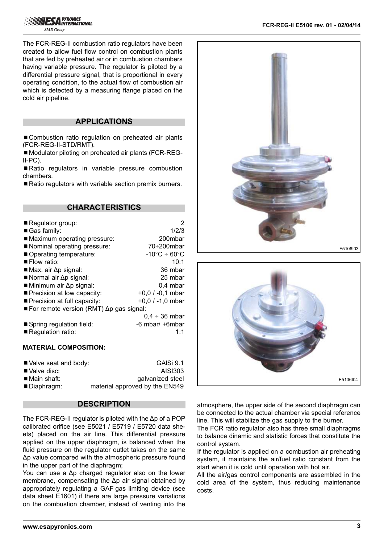The FCR-REG-II combustion ratio regulators have been created to allow fuel flow control on combustion plants that are fed by preheated air or in combustion chambers having variable pressure. The regulator is piloted by a differential pressure signal, that is proportional in every operating condition, to the actual flow of combustion air which is detected by a measuring flange placed on the cold air pipeline.

## **APPLICATIONS**

■ Combustion ratio regulation on preheated air plants (FCR-REG-II-STD/RMT).

■ Modulator piloting on preheated air plants (FCR-REG-II-PC).

■ Ratio regulators in variable pressure combustion chambers.

■ Ratio regulators with variable section premix burners.

## **CHARACTERISTICS**

| $\blacksquare$ Regulator group:                                | 2                                 |
|----------------------------------------------------------------|-----------------------------------|
| Gas family:                                                    | 1/2/3                             |
| ■ Maximum operating pressure:                                  | 200mbar                           |
| Nominal operating pressure:                                    | $70\div200$ mbar                  |
| Operating temperature:                                         | $-10^{\circ}$ C ÷ 60 $^{\circ}$ C |
| $\blacksquare$ Flow ratio:                                     | 10:1                              |
| $\blacksquare$ Max. air $\Delta p$ signal:                     | 36 mbar                           |
| Normal air $\Delta p$ signal:                                  | 25 mbar                           |
| $\blacksquare$ Minimum air $\Delta p$ signal:                  | 0,4 mbar                          |
| ■ Precision at low capacity:                                   | $+0,0/ -0,1$ mbar                 |
| ■ Precision at full capacity:                                  | $+0.0$ / -1.0 mbar                |
| $\blacksquare$ For remote version (RMT) $\Delta p$ gas signal: |                                   |
|                                                                | $0,4 \div 36$ mbar                |
| Spring regulation field:                                       | $-6$ mbar/ $+6$ mbar              |
| Regulation ratio:                                              | 1.1                               |

#### **MATERIAL COMPOSITION:**

| ■ Valve seat and body:     | GAISi 9.1                      |
|----------------------------|--------------------------------|
| ■ Valve disc:              | AISI303                        |
| $\blacksquare$ Main shaft: | galvanized steel               |
| ■ Diaphragm:               | material approved by the EN549 |

## **DESCRIPTION**

The FCR-REG-II regulator is piloted with the Δp of a POP calibrated orifice (see E5021 / E5719 / E5720 data sheets) placed on the air line. This differential pressure applied on the upper diaphragm, is balanced when the fluid pressure on the regulator outlet takes on the same Δp value compared with the atmospheric pressure found in the upper part of the diaphragm;

You can use a Δp charged regulator also on the lower membrane, compensating the Δp air signal obtained by appropriately regulating a GAF gas limiting device (see data sheet E1601) if there are large pressure variations on the combustion chamber, instead of venting into the





atmosphere, the upper side of the second diaphragm can be connected to the actual chamber via special reference line. This will stabilize the gas supply to the burner.

The FCR ratio regulator also has three small diaphragms to balance dinamic and statistic forces that constitute the control system.

If the regulator is applied on a combustion air preheating system, it maintains the air/fuel ratio constant from the start when it is cold until operation with hot air.

All the air/gas control components are assembled in the cold area of the system, thus reducing maintenance costs.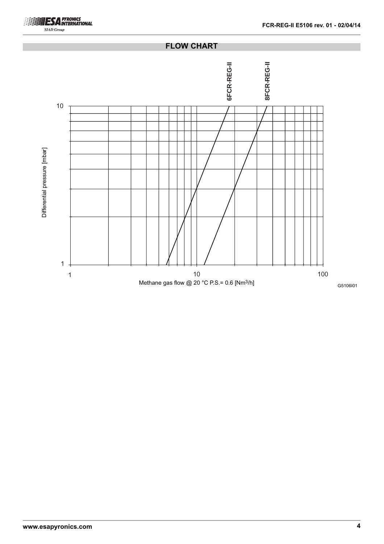

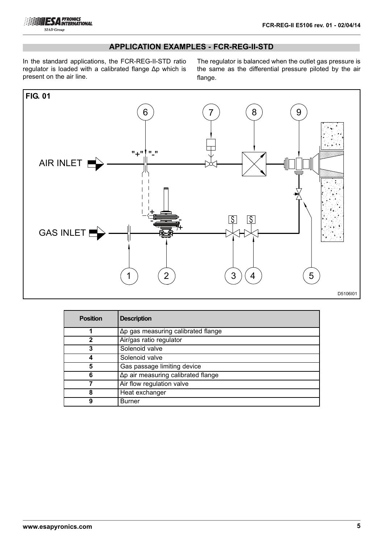

# **APPLICATION EXAMPLES - FCR-REG-II-STD**

In the standard applications, the FCR-REG-II-STD ratio regulator is loaded with a calibrated flange Δp which is present on the air line.

The regulator is balanced when the outlet gas pressure is the same as the differential pressure piloted by the air flange.



| <b>Position</b> | <b>Description</b>                                    |
|-----------------|-------------------------------------------------------|
|                 | $\Delta p$ gas measuring calibrated flange            |
| 2               | Air/gas ratio regulator                               |
| 3               | Solenoid valve                                        |
|                 | Solenoid valve                                        |
| 5               | Gas passage limiting device                           |
| 6               | $\overline{\Delta p}$ air measuring calibrated flange |
|                 | Air flow regulation valve                             |
| 8               | Heat exchanger                                        |
| 9               | Burner                                                |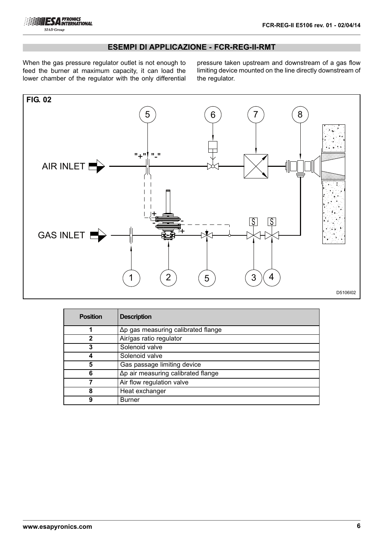

# **ESEMPI DI APPLICAZIONE - FCR-REG-II-RMT**

When the gas pressure regulator outlet is not enough to feed the burner at maximum capacity, it can load the lower chamber of the regulator with the only differential

pressure taken upstream and downstream of a gas flow limiting device mounted on the line directly downstream of the regulator.



| <b>Position</b> | <b>Description</b>                         |
|-----------------|--------------------------------------------|
|                 | Δp gas measuring calibrated flange         |
|                 | Air/gas ratio regulator                    |
| 3               | Solenoid valve                             |
|                 | Solenoid valve                             |
| 5               | Gas passage limiting device                |
| 6               | $\Delta p$ air measuring calibrated flange |
|                 | Air flow regulation valve                  |
| 8               | Heat exchanger                             |
| g               | Burner                                     |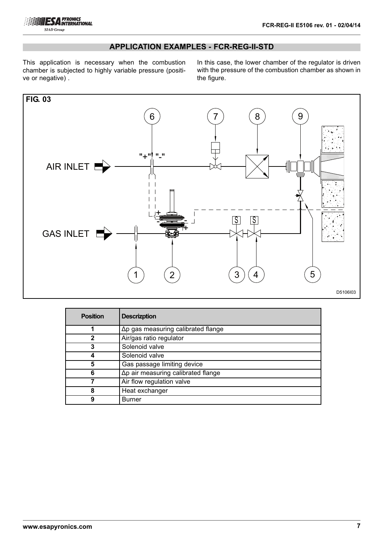

# **APPLICATION EXAMPLES - FCR-REG-II-STD**

This application is necessary when the combustion chamber is subjected to highly variable pressure (positive or negative) .

In this case, the lower chamber of the regulator is driven with the pressure of the combustion chamber as shown in the figure.



| <b>Position</b> | <b>Descrizption</b>                        |
|-----------------|--------------------------------------------|
|                 | $\Delta p$ gas measuring calibrated flange |
| 2               | Air/gas ratio regulator                    |
| 3               | Solenoid valve                             |
|                 | Solenoid valve                             |
| 5               | Gas passage limiting device                |
| 6               | $\Delta p$ air measuring calibrated flange |
|                 | Air flow regulation valve                  |
|                 | Heat exchanger                             |
| 9               | <b>Burner</b>                              |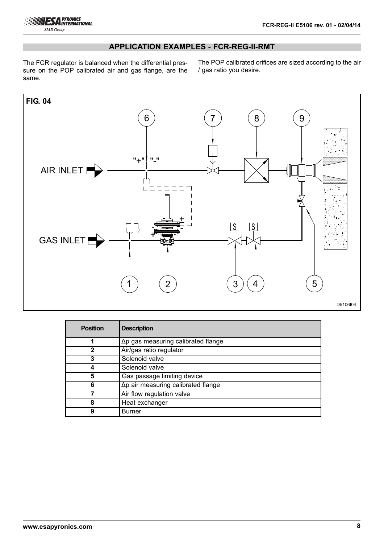

# **APPLICATION EXAMPLES - FCR-REG-II-RMT**

The FCR regulator is balanced when the differential pressure on the POP calibrated air and gas flange, are the same.

The POP calibrated orifices are sized according to the air / gas ratio you desire.



| <b>Position</b> | <b>Description</b>                         |
|-----------------|--------------------------------------------|
|                 | Δp gas measuring calibrated flange         |
| $\mathbf{c}$    | Air/gas ratio regulator                    |
| 3               | Solenoid valve                             |
|                 | Solenoid valve                             |
| 5               | Gas passage limiting device                |
| 6               | $\Delta p$ air measuring calibrated flange |
|                 | Air flow regulation valve                  |
| 8               | Heat exchanger                             |
| 9               | Burner                                     |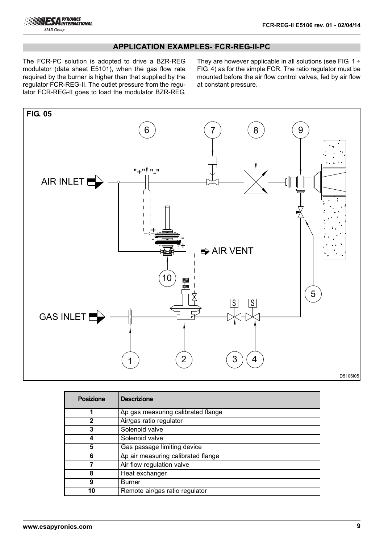

# **APPLICATION EXAMPLES- FCR-REG-II-PC**

The FCR-PC solution is adopted to drive a BZR-REG modulator (data sheet E5101), when the gas flow rate required by the burner is higher than that supplied by the regulator FCR-REG-II. The outlet pressure from the regulator FCR-REG-II goes to load the modulator BZR-REG.

They are however applicable in all solutions (see FIG.  $1 \div$ FIG. 4) as for the simple FCR. The ratio regulator must be mounted before the air flow control valves, fed by air flow at constant pressure.



| D5106I05 |  |
|----------|--|
|----------|--|

| <b>Posizione</b> | <b>Descrizione</b>                         |
|------------------|--------------------------------------------|
|                  | $\Delta p$ gas measuring calibrated flange |
|                  | Air/gas ratio regulator                    |
| 3                | Solenoid valve                             |
|                  | Solenoid valve                             |
| 5                | Gas passage limiting device                |
| 6                | $\Delta p$ air measuring calibrated flange |
|                  | Air flow regulation valve                  |
| 8                | Heat exchanger                             |
| 9                | <b>Burner</b>                              |
| 10               | Remote air/gas ratio regulator             |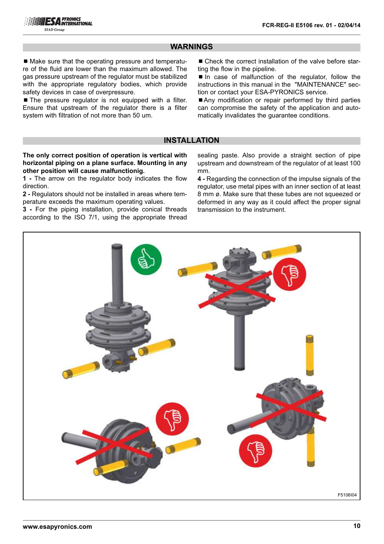## **WARNINGS**

■ Make sure that the operating pressure and temperature of the fluid are lower than the maximum allowed. The gas pressure upstream of the regulator must be stabilized with the appropriate regulatory bodies, which provide safety devices in case of overpressure.

 $\blacksquare$  The pressure regulator is not equipped with a filter. Ensure that upstream of the regulator there is a filter system with filtration of not more than 50 um.

■ Check the correct installation of the valve before starting the flow in the pipeline.

■ In case of malfunction of the regulator, follow the instructions in this manual in the "MAINTENANCE" section or contact your ESA-PYRONICS service.

■ Any modification or repair performed by third parties can compromise the safety of the application and automatically invalidates the guarantee conditions.

## **INSTALLATION**

**The only correct position of operation is vertical with horizontal piping on a plane surface. Mounting in any other position will cause malfunctionig.**

**1 -** The arrow on the regulator body indicates the flow direction.

**2 -** Regulators should not be installed in areas where temperature exceeds the maximum operating values.

**3 -** For the piping installation, provide conical threads according to the ISO 7/1, using the appropriate thread sealing paste. Also provide a straight section of pipe upstream and downstream of the regulator of at least 100 mm.

**4 -** Regarding the connection of the impulse signals of the regulator, use metal pipes with an inner section of at least 8 mm ø. Make sure that these tubes are not squeezed or deformed in any way as it could affect the proper signal transmission to the instrument.

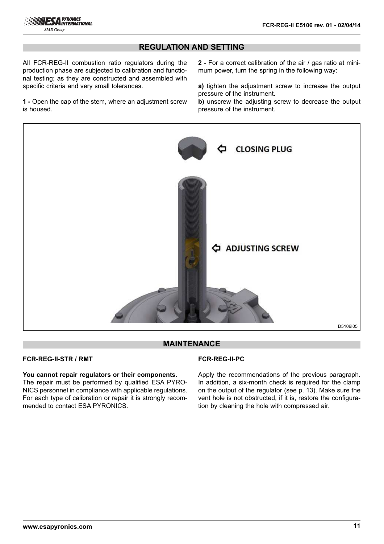

## **REGULATION AND SETTING**

All FCR-REG-II combustion ratio regulators during the production phase are subjected to calibration and functional testing; as they are constructed and assembled with specific criteria and very small tolerances.

**1 -** Open the cap of the stem, where an adjustment screw is housed.

**2 -** For a correct calibration of the air / gas ratio at minimum power, turn the spring in the following way:

**a)** tighten the adjustment screw to increase the output pressure of the instrument.

**b)** unscrew the adjusting screw to decrease the output pressure of the instrument.



## **MAINTENANCE**

## **FCR-REG-II-STR / RMT**

**You cannot repair regulators or their components.** 

The repair must be performed by qualified ESA PYRO-NICS personnel in compliance with applicable regulations. For each type of calibration or repair it is strongly recommended to contact ESA PYRONICS.

### **FCR-REG-II-PC**

Apply the recommendations of the previous paragraph. In addition, a six-month check is required for the clamp on the output of the regulator (see p. 13). Make sure the vent hole is not obstructed, if it is, restore the configuration by cleaning the hole with compressed air.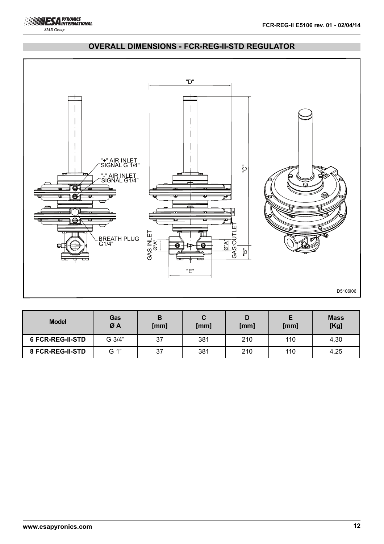



# **OVERALL DIMENSIONS - FCR-REG-II-STD REGULATOR**

| <b>Model</b>            | Gas<br>ØA | в<br>[mm] | C<br>[mm] | [mm] | [mm] | <b>Mass</b><br>[Kg] |
|-------------------------|-----------|-----------|-----------|------|------|---------------------|
| <b>6 FCR-REG-II-STD</b> | G 3/4"    | 37        | 381       | 210  | 110  | 4,30                |
| 8 FCR-REG-II-STD        | G 1"      | 37        | 381       | 210  | 110  | 4,25                |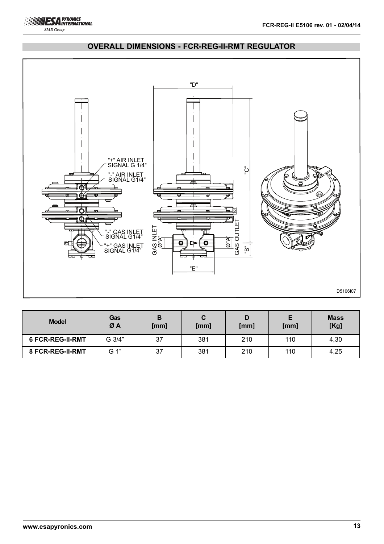



## **OVERALL DIMENSIONS - FCR-REG-II-RMT REGULATOR**

| <b>Model</b>            | Gas<br>ØA | в<br>[mm] | C<br>[mm] | D<br>[mm] | [mm] | <b>Mass</b><br>[Kg] |
|-------------------------|-----------|-----------|-----------|-----------|------|---------------------|
| <b>6 FCR-REG-II-RMT</b> | G 3/4"    | 37        | 381       | 210       | 110  | 4,30                |
| 8 FCR-REG-II-RMT        | G 1"      | 37        | 381       | 210       | 110  | 4,25                |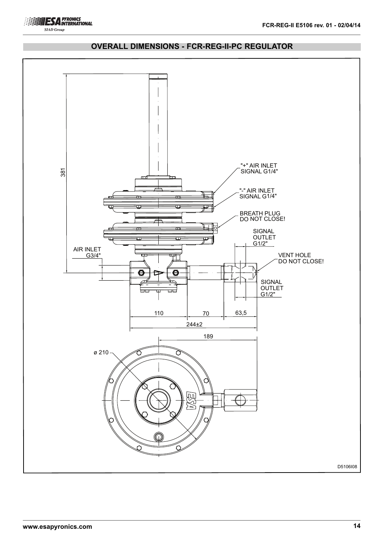



# **OVERALL DIMENSIONS - FCR-REG-II-PC REGULATOR**